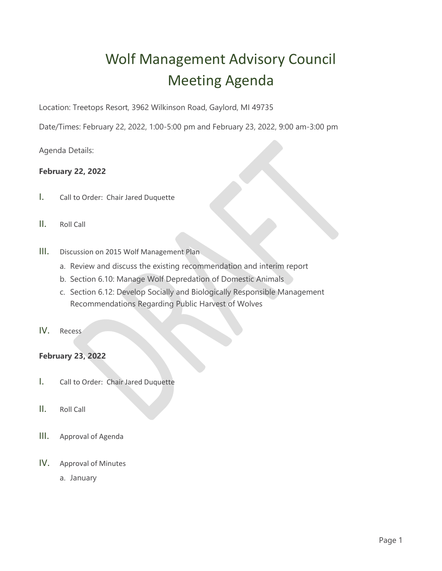## Wolf Management Advisory Council Meeting Agenda

Location: Treetops Resort, 3962 Wilkinson Road, Gaylord, MI 49735

Date/Times: February 22, 2022, 1:00-5:00 pm and February 23, 2022, 9:00 am-3:00 pm

Agenda Details:

## **February 22, 2022**

- I. Call to Order: Chair Jared Duquette
- II. Roll Call
- III. Discussion on 2015 Wolf Management Plan
	- a. Review and discuss the existing recommendation and interim report
	- b. Section 6.10: Manage Wolf Depredation of Domestic Animals
	- c. Section 6.12: Develop Socially and Biologically Responsible Management Recommendations Regarding Public Harvest of Wolves
- IV. Recess

## **February 23, 2022**

- I. Call to Order: Chair Jared Duquette
- II. Roll Call
- III. Approval of Agenda
- IV. Approval of Minutes
	- a. January